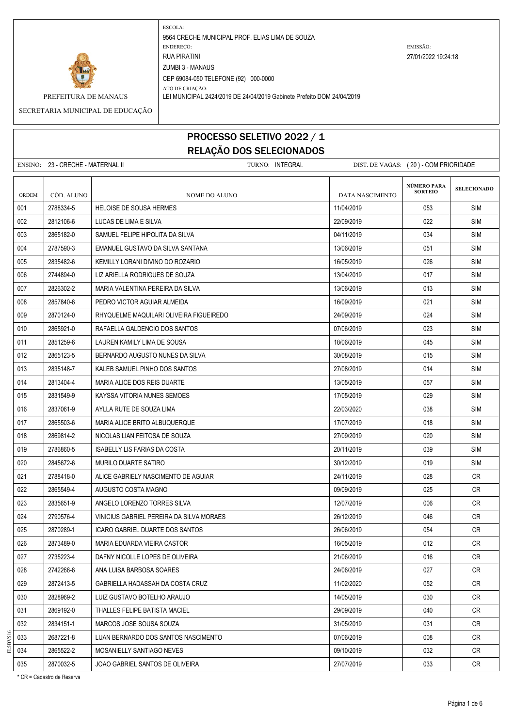

ATO DE CRIAÇÃO: PREFEITURA DE MANAUS LEI MUNICIPAL 2424/2019 DE 24/04/2019 Gabinete Prefeito DOM 24/04/2019

SECRETARIA MUNICIPAL DE EDUCAÇÃO

#### PROCESSO SELETIVO 2022 / 1 RELAÇÃO DOS SELECIONADOS

|       | ENSINO: 23 - CRECHE - MATERNAL II |                                          | TURNO: INTEGRAL | DIST. DE VAGAS: (20) - COM PRIORIDADE |                               |                    |
|-------|-----------------------------------|------------------------------------------|-----------------|---------------------------------------|-------------------------------|--------------------|
| ORDEM | CÓD. ALUNO                        | NOME DO ALUNO                            |                 | <b>DATA NASCIMENTO</b>                | NÚMERO PARA<br><b>SORTEIO</b> | <b>SELECIONADO</b> |
| 001   | 2788334-5                         | <b>HELOISE DE SOUSA HERMES</b>           |                 | 11/04/2019                            | 053                           | <b>SIM</b>         |
| 002   | 2812106-6                         | LUCAS DE LIMA E SILVA                    |                 | 22/09/2019                            | 022                           | SIM                |
| 003   | 2865182-0                         | SAMUEL FELIPE HIPOLITA DA SILVA          |                 | 04/11/2019                            | 034                           | SIM                |
| 004   | 2787590-3                         | EMANUEL GUSTAVO DA SILVA SANTANA         |                 | 13/06/2019                            | 051                           | SIM                |
| 005   | 2835482-6                         | KEMILLY LORANI DIVINO DO ROZARIO         |                 | 16/05/2019                            | 026                           | <b>SIM</b>         |
| 006   | 2744894-0                         | LIZ ARIELLA RODRIGUES DE SOUZA           |                 | 13/04/2019                            | 017                           | <b>SIM</b>         |
| 007   | 2826302-2                         | MARIA VALENTINA PEREIRA DA SILVA         |                 | 13/06/2019                            | 013                           | SIM                |
| 008   | 2857840-6                         | PEDRO VICTOR AGUIAR ALMEIDA              |                 | 16/09/2019                            | 021                           | SIM                |
| 009   | 2870124-0                         | RHYQUELME MAQUILARI OLIVEIRA FIGUEIREDO  |                 | 24/09/2019                            | 024                           | SIM                |
| 010   | 2865921-0                         | RAFAELLA GALDENCIO DOS SANTOS            |                 | 07/06/2019                            | 023                           | SIM                |
| 011   | 2851259-6                         | LAUREN KAMILY LIMA DE SOUSA              |                 | 18/06/2019                            | 045                           | <b>SIM</b>         |
| 012   | 2865123-5                         | BERNARDO AUGUSTO NUNES DA SILVA          |                 | 30/08/2019                            | 015                           | SIM                |
| 013   | 2835148-7                         | KALEB SAMUEL PINHO DOS SANTOS            |                 | 27/08/2019                            | 014                           | SIM                |
| 014   | 2813404-4                         | MARIA ALICE DOS REIS DUARTE              |                 | 13/05/2019                            | 057                           | SIM                |
| 015   | 2831549-9                         | KAYSSA VITORIA NUNES SEMOES              |                 | 17/05/2019                            | 029                           | SIM                |
| 016   | 2837061-9                         | AYLLA RUTE DE SOUZA LIMA                 |                 | 22/03/2020                            | 038                           | SIM                |
| 017   | 2865503-6                         | MARIA ALICE BRITO ALBUQUERQUE            |                 | 17/07/2019                            | 018                           | <b>SIM</b>         |
| 018   | 2869814-2                         | NICOLAS LIAN FEITOSA DE SOUZA            |                 | 27/09/2019                            | 020                           | SIM                |
| 019   | 2786860-5                         | ISABELLY LIS FARIAS DA COSTA             |                 | 20/11/2019                            | 039                           | SIM                |
| 020   | 2845672-6                         | MURILO DUARTE SATIRO                     |                 | 30/12/2019                            | 019                           | SIM                |
| 021   | 2788418-0                         | ALICE GABRIELY NASCIMENTO DE AGUIAR      |                 | 24/11/2019                            | 028                           | CR.                |
| 022   | 2865549-4                         | AUGUSTO COSTA MAGNO                      |                 | 09/09/2019                            | 025                           | CR.                |
| 023   | 2835651-9                         | ANGELO LORENZO TORRES SILVA              |                 | 12/07/2019                            | 006                           | CR.                |
| 024   | 2790576-4                         | VINICIUS GABRIEL PEREIRA DA SILVA MORAES |                 | 26/12/2019                            | 046                           | CR                 |
| 025   | 2870289-1                         | ICARO GABRIEL DUARTE DOS SANTOS          |                 | 26/06/2019                            | 054                           | CR.                |
| 026   | 2873489-0                         | MARIA EDUARDA VIEIRA CASTOR              |                 | 16/05/2019                            | 012                           | <b>CR</b>          |
| 027   | 2735223-4                         | DAFNY NICOLLE LOPES DE OLIVEIRA          |                 | 21/06/2019                            | 016                           | <b>CR</b>          |
| 028   | 2742266-6                         | ANA LUISA BARBOSA SOARES                 |                 | 24/06/2019                            | 027                           | CR                 |
| 029   | 2872413-5                         | GABRIELLA HADASSAH DA COSTA CRUZ         |                 | 11/02/2020                            | 052                           | CR                 |
| 030   | 2828969-2                         | LUIZ GUSTAVO BOTELHO ARAUJO              |                 | 14/05/2019                            | 030                           | CR                 |
| 031   | 2869192-0                         | THALLES FELIPE BATISTA MACIEL            |                 | 29/09/2019                            | 040                           | <b>CR</b>          |
| 032   | 2834151-1                         | MARCOS JOSE SOUSA SOUZA                  |                 | 31/05/2019                            | 031                           | CR                 |
| 033   | 2687221-8                         | LUAN BERNARDO DOS SANTOS NASCIMENTO      |                 | 07/06/2019                            | 008                           | CR                 |
| 034   | 2865522-2                         | MOSANIELLY SANTIAGO NEVES                |                 | 09/10/2019                            | 032                           | CR                 |
| 035   | 2870032-5                         | JOAO GABRIEL SANTOS DE OLIVEIRA          |                 | 27/07/2019                            | 033                           | CR                 |

\* CR = Cadastro de Reserva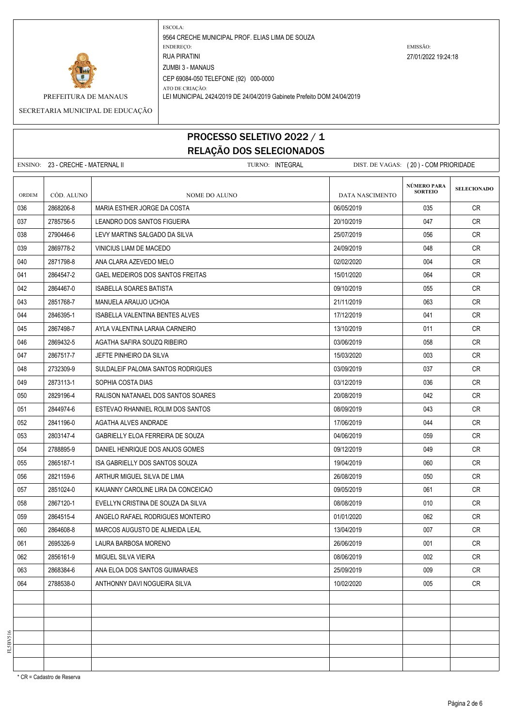

ATO DE CRIAÇÃO: PREFEITURA DE MANAUS LEI MUNICIPAL 2424/2019 DE 24/04/2019 Gabinete Prefeito DOM 24/04/2019

SECRETARIA MUNICIPAL DE EDUCAÇÃO

# PROCESSO SELETIVO 2022 / 1 RELAÇÃO DOS SELECIONADOS

|              | ENSINO: 23 - CRECHE - MATERNAL II |                                    | TURNO: INTEGRAL | DIST. DE VAGAS: (20) - COM PRIORIDADE |                               |                    |
|--------------|-----------------------------------|------------------------------------|-----------------|---------------------------------------|-------------------------------|--------------------|
| <b>ORDEM</b> | CÓD. ALUNO                        | NOME DO ALUNO                      |                 | DATA NASCIMENTO                       | NÚMERO PARA<br><b>SORTEIO</b> | <b>SELECIONADO</b> |
| 036          | 2868206-8                         | MARIA ESTHER JORGE DA COSTA        |                 | 06/05/2019                            | 035                           | CR.                |
| 037          | 2785756-5                         | LEANDRO DOS SANTOS FIGUEIRA        |                 | 20/10/2019                            | 047                           | CR.                |
| 038          | 2790446-6                         | LEVY MARTINS SALGADO DA SILVA      |                 | 25/07/2019                            | 056                           | CR                 |
| 039          | 2869778-2                         | VINICIUS LIAM DE MACEDO            |                 | 24/09/2019                            | 048                           | CR.                |
| 040          | 2871798-8                         | ANA CLARA AZEVEDO MELO             |                 | 02/02/2020                            | 004                           | <b>CR</b>          |
| 041          | 2864547-2                         | GAEL MEDEIROS DOS SANTOS FREITAS   |                 | 15/01/2020                            | 064                           | CR                 |
| 042          | 2864467-0                         | <b>ISABELLA SOARES BATISTA</b>     |                 | 09/10/2019                            | 055                           | CR.                |
| 043          | 2851768-7                         | MANUELA ARAUJO UCHOA               |                 | 21/11/2019                            | 063                           | <b>CR</b>          |
| 044          | 2846395-1                         | ISABELLA VALENTINA BENTES ALVES    |                 | 17/12/2019                            | 041                           | CR                 |
| 045          | 2867498-7                         | AYLA VALENTINA LARAIA CARNEIRO     |                 | 13/10/2019                            | 011                           | CR.                |
| 046          | 2869432-5                         | AGATHA SAFIRA SOUZQ RIBEIRO        |                 | 03/06/2019                            | 058                           | CR.                |
| 047          | 2867517-7                         | JEFTE PINHEIRO DA SILVA            |                 | 15/03/2020                            | 003                           | CR                 |
| 048          | 2732309-9                         | SULDALEIF PALOMA SANTOS RODRIGUES  |                 | 03/09/2019                            | 037                           | CR.                |
| 049          | 2873113-1                         | SOPHIA COSTA DIAS                  |                 | 03/12/2019                            | 036                           | <b>CR</b>          |
| 050          | 2829196-4                         | RALISON NATANAEL DOS SANTOS SOARES |                 | 20/08/2019                            | 042                           | CR.                |
| 051          | 2844974-6                         | ESTEVAO RHANNIEL ROLIM DOS SANTOS  |                 | 08/09/2019                            | 043                           | CR.                |
| 052          | 2841196-0                         | AGATHA ALVES ANDRADE               |                 | 17/06/2019                            | 044                           | CR                 |
| 053          | 2803147-4                         | GABRIELLY ELOA FERREIRA DE SOUZA   |                 | 04/06/2019                            | 059                           | CR.                |
| 054          | 2788895-9                         | DANIEL HENRIQUE DOS ANJOS GOMES    |                 | 09/12/2019                            | 049                           | CR.                |
| 055          | 2865187-1                         | ISA GABRIELLY DOS SANTOS SOUZA     |                 | 19/04/2019                            | 060                           | CR                 |
| 056          | 2821159-6                         | ARTHUR MIGUEL SILVA DE LIMA        |                 | 26/08/2019                            | 050                           | CR.                |
| 057          | 2851024-0                         | KAUANNY CAROLINE LIRA DA CONCEICAO |                 | 09/05/2019                            | 061                           | <b>CR</b>          |
| 058          | 2867120-1                         | EVELLYN CRISTINA DE SOUZA DA SILVA |                 | 08/08/2019                            | 010                           | CR                 |
| 059          | 2864515-4                         | ANGELO RAFAEL RODRIGUES MONTEIRO   |                 | 01/01/2020                            | 062                           | CR.                |
| 060          | 2864608-8                         | MARCOS AUGUSTO DE ALMEIDA LEAL     |                 | 13/04/2019                            | 007                           | <b>CR</b>          |
| 061          | 2695326-9                         | LAURA BARBOSA MORENO               |                 | 26/06/2019                            | 001                           | <b>CR</b>          |
| 062          | 2856161-9                         | MIGUEL SILVA VIEIRA                |                 | 08/06/2019                            | 002                           | <b>CR</b>          |
| 063          | 2868384-6                         | ANA ELOA DOS SANTOS GUIMARAES      |                 | 25/09/2019                            | 009                           | CR                 |
| 064          | 2788538-0                         | ANTHONNY DAVI NOGUEIRA SILVA       |                 | 10/02/2020                            | 005                           | <b>CR</b>          |
|              |                                   |                                    |                 |                                       |                               |                    |
|              |                                   |                                    |                 |                                       |                               |                    |
|              |                                   |                                    |                 |                                       |                               |                    |
|              |                                   |                                    |                 |                                       |                               |                    |
|              |                                   |                                    |                 |                                       |                               |                    |
|              |                                   |                                    |                 |                                       |                               |                    |

\* CR = Cadastro de Reserva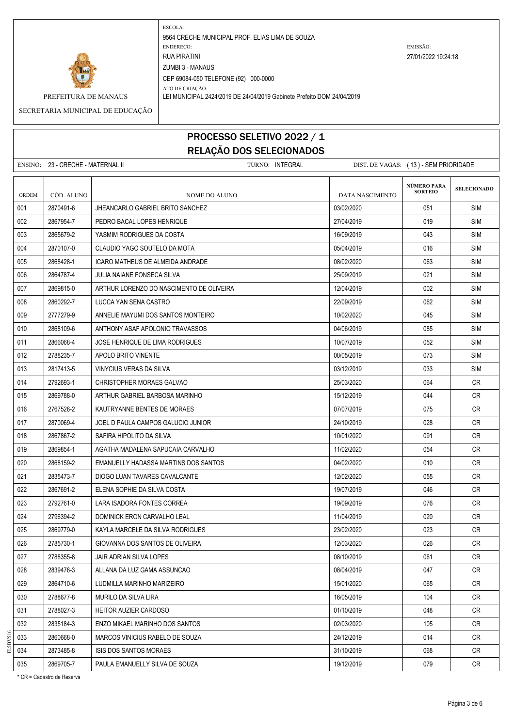

ATO DE CRIAÇÃO: PREFEITURA DE MANAUS LEI MUNICIPAL 2424/2019 DE 24/04/2019 Gabinete Prefeito DOM 24/04/2019

SECRETARIA MUNICIPAL DE EDUCAÇÃO

# PROCESSO SELETIVO 2022 / 1 RELAÇÃO DOS SELECIONADOS

|              | ENSINO: 23 - CRECHE - MATERNAL II |                                          | TURNO: INTEGRAL | DIST. DE VAGAS: (13) - SEM PRIORIDADE |                               |                    |
|--------------|-----------------------------------|------------------------------------------|-----------------|---------------------------------------|-------------------------------|--------------------|
| <b>ORDEM</b> | CÓD. ALUNO                        | NOME DO ALUNO                            |                 | <b>DATA NASCIMENTO</b>                | NÚMERO PARA<br><b>SORTEIO</b> | <b>SELECIONADO</b> |
| 001          | 2870491-6                         | JHEANCARLO GABRIEL BRITO SANCHEZ         |                 | 03/02/2020                            | 051                           | <b>SIM</b>         |
| 002          | 2867954-7                         | PEDRO BACAL LOPES HENRIQUE               |                 | 27/04/2019                            | 019                           | SIM                |
| 003          | 2865679-2                         | YASMIM RODRIGUES DA COSTA                |                 | 16/09/2019                            | 043                           | <b>SIM</b>         |
| 004          | 2870107-0                         | CLAUDIO YAGO SOUTELO DA MOTA             |                 | 05/04/2019                            | 016                           | <b>SIM</b>         |
| 005          | 2868428-1                         | ICARO MATHEUS DE ALMEIDA ANDRADE         |                 | 08/02/2020                            | 063                           | SIM                |
| 006          | 2864787-4                         | JULIA NAIANE FONSECA SILVA               |                 | 25/09/2019                            | 021                           | SIM                |
| 007          | 2869815-0                         | ARTHUR LORENZO DO NASCIMENTO DE OLIVEIRA |                 | 12/04/2019                            | 002                           | SIM                |
| 008          | 2860292-7                         | LUCCA YAN SENA CASTRO                    |                 | 22/09/2019                            | 062                           | SIM                |
| 009          | 2777279-9                         | ANNELIE MAYUMI DOS SANTOS MONTEIRO       |                 | 10/02/2020                            | 045                           | <b>SIM</b>         |
| 010          | 2868109-6                         | ANTHONY ASAF APOLONIO TRAVASSOS          |                 | 04/06/2019                            | 085                           | <b>SIM</b>         |
| 011          | 2866068-4                         | JOSE HENRIQUE DE LIMA RODRIGUES          |                 | 10/07/2019                            | 052                           | SIM                |
| 012          | 2788235-7                         | APOLO BRITO VINENTE                      |                 | 08/05/2019                            | 073                           | SIM                |
| 013          | 2817413-5                         | VINYCIUS VERAS DA SILVA                  |                 | 03/12/2019                            | 033                           | SIM                |
| 014          | 2792693-1                         | CHRISTOPHER MORAES GALVAO                |                 | 25/03/2020                            | 064                           | CR.                |
| 015          | 2869788-0                         | ARTHUR GABRIEL BARBOSA MARINHO           |                 | 15/12/2019                            | 044                           | CR.                |
| 016          | 2767526-2                         | KAUTRYANNE BENTES DE MORAES              |                 | 07/07/2019                            | 075                           | <b>CR</b>          |
| 017          | 2870069-4                         | JOEL D PAULA CAMPOS GALUCIO JUNIOR       |                 | 24/10/2019                            | 028                           | CR.                |
| 018          | 2867867-2                         | SAFIRA HIPOLITO DA SILVA                 |                 | 10/01/2020                            | 091                           | CR.                |
| 019          | 2869854-1                         | AGATHA MADALENA SAPUCAIA CARVALHO        |                 | 11/02/2020                            | 054                           | CR                 |
| 020          | 2868159-2                         | EMANUELLY HADASSA MARTINS DOS SANTOS     |                 | 04/02/2020                            | 010                           | CR.                |
| 021          | 2835473-7                         | DIOGO LUAN TAVARES CAVALCANTE            |                 | 12/02/2020                            | 055                           | CR.                |
| 022          | 2867691-2                         | ELENA SOPHIE DA SILVA COSTA              |                 | 19/07/2019                            | 046                           | CR                 |
| 023          | 2792761-0                         | LARA ISADORA FONTES CORREA               |                 | 19/09/2019                            | 076                           | CR                 |
| 024          | 2796394-2                         | DOMINICK ERON CARVALHO LEAL              |                 | 11/04/2019                            | 020                           | CR.                |
| 025          | 2869779-0                         | KAYLA MARCELE DA SILVA RODRIGUES         |                 | 23/02/2020                            | 023                           | CR.                |
| 026          | 2785730-1                         | GIOVANNA DOS SANTOS DE OLIVEIRA          |                 | 12/03/2020                            | 026                           | <b>CR</b>          |
| 027          | 2788355-8                         | JAIR ADRIAN SILVA LOPES                  |                 | 08/10/2019                            | 061                           | CR                 |
| 028          | 2839476-3                         | ALLANA DA LUZ GAMA ASSUNCAO              |                 | 08/04/2019                            | 047                           | <b>CR</b>          |
| 029          | 2864710-6                         | LUDMILLA MARINHO MARIZEIRO               |                 | 15/01/2020                            | 065                           | CR                 |
| 030          | 2788677-8                         | MURILO DA SILVA LIRA                     |                 | 16/05/2019                            | 104                           | <b>CR</b>          |
| 031          | 2788027-3                         | <b>HEITOR AUZIER CARDOSO</b>             |                 | 01/10/2019                            | 048                           | CR                 |
| 032          | 2835184-3                         | ENZO MIKAEL MARINHO DOS SANTOS           |                 | 02/03/2020                            | 105                           | <b>CR</b>          |
| 033          | 2860668-0                         | MARCOS VINICIUS RABELO DE SOUZA          |                 | 24/12/2019                            | 014                           | CR                 |
| 034          | 2873485-8                         | ISIS DOS SANTOS MORAES                   |                 | 31/10/2019                            | 068                           | CR                 |
| 035          | 2869705-7                         | PAULA EMANUELLY SILVA DE SOUZA           |                 | 19/12/2019                            | 079                           | CR                 |

\* CR = Cadastro de Reserva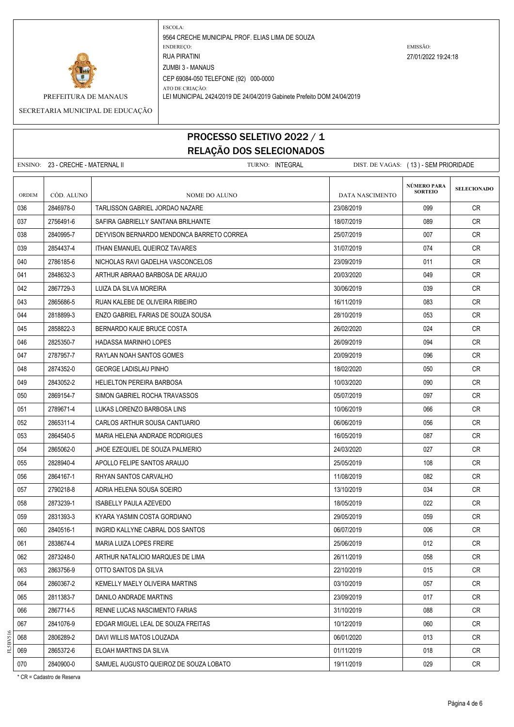

ATO DE CRIAÇÃO: PREFEITURA DE MANAUS LEI MUNICIPAL 2424/2019 DE 24/04/2019 Gabinete Prefeito DOM 24/04/2019

SECRETARIA MUNICIPAL DE EDUCAÇÃO

# PROCESSO SELETIVO 2022 / 1 RELAÇÃO DOS SELECIONADOS

|       | ENSINO: 23 - CRECHE - MATERNAL II |                                           | TURNO: INTEGRAL | DIST. DE VAGAS: (13) - SEM PRIORIDADE |                                      |                    |
|-------|-----------------------------------|-------------------------------------------|-----------------|---------------------------------------|--------------------------------------|--------------------|
| ORDEM | CÓD. ALUNO                        | <b>NOME DO ALUNO</b>                      |                 | DATA NASCIMENTO                       | <b>NÚMERO PARA</b><br><b>SORTEIO</b> | <b>SELECIONADO</b> |
| 036   | 2846978-0                         | TARLISSON GABRIEL JORDAO NAZARE           |                 | 23/08/2019                            | 099                                  | CR.                |
| 037   | 2756491-6                         | SAFIRA GABRIELLY SANTANA BRILHANTE        |                 | 18/07/2019                            | 089                                  | CR.                |
| 038   | 2840995-7                         | DEYVISON BERNARDO MENDONCA BARRETO CORREA |                 | 25/07/2019                            | 007                                  | CR                 |
| 039   | 2854437-4                         | <b>ITHAN EMANUEL QUEIROZ TAVARES</b>      |                 | 31/07/2019                            | 074                                  | CR.                |
| 040   | 2786185-6                         | NICHOLAS RAVI GADELHA VASCONCELOS         |                 | 23/09/2019                            | 011                                  | CR.                |
| 041   | 2848632-3                         | ARTHUR ABRAAO BARBOSA DE ARAUJO           |                 | 20/03/2020                            | 049                                  | CR.                |
| 042   | 2867729-3                         | LUIZA DA SILVA MOREIRA                    |                 | 30/06/2019                            | 039                                  | CR.                |
| 043   | 2865686-5                         | RUAN KALEBE DE OLIVEIRA RIBEIRO           |                 | 16/11/2019                            | 083                                  | <b>CR</b>          |
| 044   | 2818899-3                         | ENZO GABRIEL FARIAS DE SOUZA SOUSA        |                 | 28/10/2019                            | 053                                  | CR                 |
| 045   | 2858822-3                         | BERNARDO KAUE BRUCE COSTA                 |                 | 26/02/2020                            | 024                                  | CR.                |
| 046   | 2825350-7                         | HADASSA MARINHO LOPES                     |                 | 26/09/2019                            | 094                                  | CR.                |
| 047   | 2787957-7                         | RAYLAN NOAH SANTOS GOMES                  |                 | 20/09/2019                            | 096                                  | CR                 |
| 048   | 2874352-0                         | <b>GEORGE LADISLAU PINHO</b>              |                 | 18/02/2020                            | 050                                  | CR.                |
| 049   | 2843052-2                         | <b>HELIELTON PEREIRA BARBOSA</b>          |                 | 10/03/2020                            | 090                                  | CR.                |
| 050   | 2869154-7                         | SIMON GABRIEL ROCHA TRAVASSOS             |                 | 05/07/2019                            | 097                                  | CR.                |
| 051   | 2789671-4                         | LUKAS LORENZO BARBOSA LINS                |                 | 10/06/2019                            | 066                                  | CR.                |
| 052   | 2865311-4                         | CARLOS ARTHUR SOUSA CANTUARIO             |                 | 06/06/2019                            | 056                                  | CR.                |
| 053   | 2864540-5                         | MARIA HELENA ANDRADE RODRIGUES            |                 | 16/05/2019                            | 087                                  | CR.                |
| 054   | 2865062-0                         | JHOE EZEQUIEL DE SOUZA PALMERIO           |                 | 24/03/2020                            | 027                                  | CR.                |
| 055   | 2828940-4                         | APOLLO FELIPE SANTOS ARAUJO               |                 | 25/05/2019                            | 108                                  | CR                 |
| 056   | 2864167-1                         | RHYAN SANTOS CARVALHO                     |                 | 11/08/2019                            | 082                                  | CR.                |
| 057   | 2790218-8                         | ADRIA HELENA SOUSA SOEIRO                 |                 | 13/10/2019                            | 034                                  | CR                 |
| 058   | 2873239-1                         | <b>ISABELLY PAULA AZEVEDO</b>             |                 | 18/05/2019                            | 022                                  | CR.                |
| 059   | 2831393-3                         | KYARA YASMIN COSTA GORDIANO               |                 | 29/05/2019                            | 059                                  | CR.                |
| 060   | 2840516-1                         | INGRID KALLYNE CABRAL DOS SANTOS          |                 | 06/07/2019                            | 006                                  | CR                 |
| 061   | 2838674-4                         | MARIA LUIZA LOPES FREIRE                  |                 | 25/06/2019                            | 012                                  | CR.                |
| 062   | 2873248-0                         | ARTHUR NATALICIO MARQUES DE LIMA          |                 | 26/11/2019                            | 058                                  | CR                 |
| 063   | 2863756-9                         | OTTO SANTOS DA SILVA                      |                 | 22/10/2019                            | 015                                  | <b>CR</b>          |
| 064   | 2860367-2                         | KEMELLY MAELY OLIVEIRA MARTINS            |                 | 03/10/2019                            | 057                                  | <b>CR</b>          |
| 065   | 2811383-7                         | DANILO ANDRADE MARTINS                    |                 | 23/09/2019                            | 017                                  | <b>CR</b>          |
| 066   | 2867714-5                         | RENNE LUCAS NASCIMENTO FARIAS             |                 | 31/10/2019                            | 088                                  | CR                 |
| 067   | 2841076-9                         | EDGAR MIGUEL LEAL DE SOUZA FREITAS        |                 | 10/12/2019                            | 060                                  | CR                 |
| 068   | 2806289-2                         | DAVI WILLIS MATOS LOUZADA                 |                 | 06/01/2020                            | 013                                  | <b>CR</b>          |
| 069   | 2865372-6                         | ELOAH MARTINS DA SILVA                    |                 | 01/11/2019                            | 018                                  | CR                 |
| 070   | 2840900-0                         | SAMUEL AUGUSTO QUEIROZ DE SOUZA LOBATO    |                 | 19/11/2019                            | 029                                  | CR                 |

\* CR = Cadastro de Reserva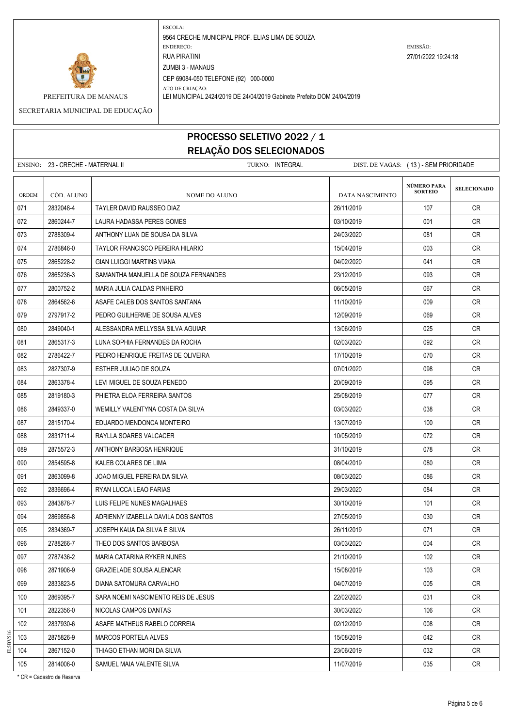

ATO DE CRIAÇÃO: PREFEITURA DE MANAUS LEI MUNICIPAL 2424/2019 DE 24/04/2019 Gabinete Prefeito DOM 24/04/2019

SECRETARIA MUNICIPAL DE EDUCAÇÃO

# PROCESSO SELETIVO 2022 / 1 RELAÇÃO DOS SELECIONADOS

|       | ENSINO: 23 - CRECHE - MATERNAL II |                                      | TURNO: INTEGRAL |                 | DIST. DE VAGAS: (13) - SEM PRIORIDADE |                    |
|-------|-----------------------------------|--------------------------------------|-----------------|-----------------|---------------------------------------|--------------------|
| ORDEM | CÓD. ALUNO                        | <b>NOME DO ALUNO</b>                 |                 | DATA NASCIMENTO | NÚMERO PARA<br><b>SORTEIO</b>         | <b>SELECIONADO</b> |
| 071   | 2832048-4                         | TAYLER DAVID RAUSSEO DIAZ            |                 | 26/11/2019      | 107                                   | <b>CR</b>          |
| 072   | 2860244-7                         | LAURA HADASSA PERES GOMES            |                 | 03/10/2019      | 001                                   | CR.                |
| 073   | 2788309-4                         | ANTHONY LUAN DE SOUSA DA SILVA       |                 | 24/03/2020      | 081                                   | <b>CR</b>          |
| 074   | 2786846-0                         | TAYLOR FRANCISCO PEREIRA HILARIO     |                 | 15/04/2019      | 003                                   | CR                 |
| 075   | 2865228-2                         | <b>GIAN LUIGGI MARTINS VIANA</b>     |                 | 04/02/2020      | 041                                   | CR                 |
| 076   | 2865236-3                         | SAMANTHA MANUELLA DE SOUZA FERNANDES |                 | 23/12/2019      | 093                                   | <b>CR</b>          |
| 077   | 2800752-2                         | MARIA JULIA CALDAS PINHEIRO          |                 | 06/05/2019      | 067                                   | CR                 |
| 078   | 2864562-6                         | ASAFE CALEB DOS SANTOS SANTANA       |                 | 11/10/2019      | 009                                   | <b>CR</b>          |
| 079   | 2797917-2                         | PEDRO GUILHERME DE SOUSA ALVES       |                 | 12/09/2019      | 069                                   | <b>CR</b>          |
| 080   | 2849040-1                         | ALESSANDRA MELLYSSA SILVA AGUIAR     |                 | 13/06/2019      | 025                                   | CR                 |
| 081   | 2865317-3                         | LUNA SOPHIA FERNANDES DA ROCHA       |                 | 02/03/2020      | 092                                   | CR                 |
| 082   | 2786422-7                         | PEDRO HENRIQUE FREITAS DE OLIVEIRA   |                 | 17/10/2019      | 070                                   | CR                 |
| 083   | 2827307-9                         | ESTHER JULIAO DE SOUZA               |                 | 07/01/2020      | 098                                   | CR.                |
| 084   | 2863378-4                         | LEVI MIGUEL DE SOUZA PENEDO          |                 | 20/09/2019      | 095                                   | <b>CR</b>          |
| 085   | 2819180-3                         | PHIETRA ELOA FERREIRA SANTOS         |                 | 25/08/2019      | 077                                   | CR                 |
| 086   | 2849337-0                         | WEMILLY VALENTYNA COSTA DA SILVA     |                 | 03/03/2020      | 038                                   | CR                 |
| 087   | 2815170-4                         | EDUARDO MENDONCA MONTEIRO            |                 | 13/07/2019      | 100                                   | <b>CR</b>          |
| 088   | 2831711-4                         | RAYLLA SOARES VALCACER               |                 | 10/05/2019      | 072                                   | CR                 |
| 089   | 2875572-3                         | ANTHONY BARBOSA HENRIQUE             |                 | 31/10/2019      | 078                                   | CR.                |
| 090   | 2854595-8                         | KALEB COLARES DE LIMA                |                 | 08/04/2019      | 080                                   | <b>CR</b>          |
| 091   | 2863099-8                         | JOAO MIGUEL PEREIRA DA SILVA         |                 | 08/03/2020      | 086                                   | CR                 |
| 092   | 2836696-4                         | RYAN LUCCA LEAO FARIAS               |                 | 29/03/2020      | 084                                   | CR                 |
| 093   | 2843878-7                         | LUIS FELIPE NUNES MAGALHAES          |                 | 30/10/2019      | 101                                   | <b>CR</b>          |
| 094   | 2869856-8                         | ADRIENNY IZABELLA DAVILA DOS SANTOS  |                 | 27/05/2019      | 030                                   | CR.                |
| 095   | 2834369-7                         | JOSEPH KAUA DA SILVA E SILVA         |                 | 26/11/2019      | 071                                   | CR                 |
| 096   | 2788266-7                         | THEO DOS SANTOS BARBOSA              |                 | 03/03/2020      | 004                                   | CR                 |
| 097   | 2787436-2                         | MARIA CATARINA RYKER NUNES           |                 | 21/10/2019      | 102                                   | CR                 |
| 098   | 2871906-9                         | <b>GRAZIELADE SOUSA ALENCAR</b>      |                 | 15/08/2019      | 103                                   | <b>CR</b>          |
| 099   | 2833823-5                         | DIANA SATOMURA CARVALHO              |                 | 04/07/2019      | 005                                   | CR                 |
| 100   | 2869395-7                         | SARA NOEMI NASCIMENTO REIS DE JESUS  |                 | 22/02/2020      | 031                                   | CR                 |
| 101   | 2822356-0                         | NICOLAS CAMPOS DANTAS                |                 | 30/03/2020      | 106                                   | <b>CR</b>          |
| 102   | 2837930-6                         | ASAFE MATHEUS RABELO CORREIA         |                 | 02/12/2019      | 008                                   | CR                 |
| 103   | 2875826-9                         | MARCOS PORTELA ALVES                 |                 | 15/08/2019      | 042                                   | <b>CR</b>          |
| 104   | 2867152-0                         | THIAGO ETHAN MORI DA SILVA           |                 | 23/06/2019      | 032                                   | CR                 |
| 105   | 2814006-0                         | SAMUEL MAIA VALENTE SILVA            |                 | 11/07/2019      | 035                                   | CR                 |

\* CR = Cadastro de Reserva